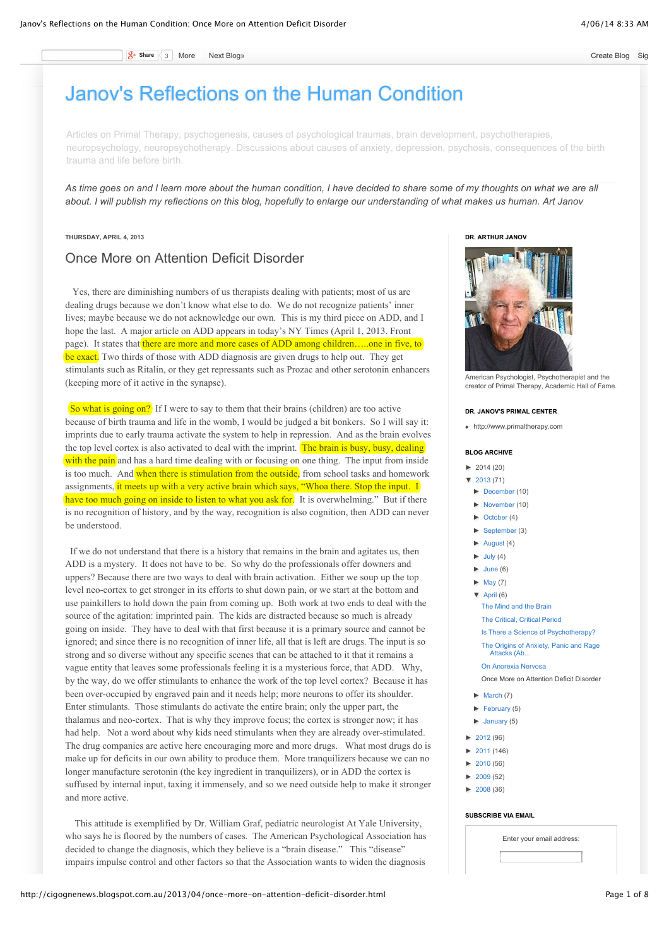**S<sub>t</sub>** Share 3 More [Next Blog»](https://www.blogger.com/next-blog?navBar=true&blogID=3420173096635836108) [Create Blog](http://www.blogger.com/home#create) [Sign](http://www.blogger.com/) Interventional State Blog Sign Interventional State Blog Sign Interventional State Blog Sign Interventional State Blog Sign Interventional State Blog State Blog State Blog St

# [Janov's Reflections on the Human Condition](http://cigognenews.blogspot.com.au/)

Articles on Primal Therapy, psychogenesis, causes of psychological traumas, brain development, psychotherapies, neuropsychology, neuropsychotherapy. Discussions about causes of anxiety, depression, psychosis, consequences of the birth trauma and life before birth.

*As time goes on and I learn more about the human condition, I have decided to share some of my thoughts on what we are all about. I will publish my reflections on this blog, hopefully to enlarge our understanding of what makes us human. Art Janov*

### **THURSDAY, APRIL 4, 2013**

## Once More on Attention Deficit Disorder

 Yes, there are diminishing numbers of us therapists dealing with patients; most of us are dealing drugs because we don't know what else to do. We do not recognize patients' inner lives; maybe because we do not acknowledge our own. This is my third piece on ADD, and I hope the last. A major article on ADD appears in today's NY Times (April 1, 2013. Front page). It states that there are more and more cases of ADD among children....one in five, to be exact. Two thirds of those with ADD diagnosis are given drugs to help out. They get stimulants such as Ritalin, or they get repressants such as Prozac and other serotonin enhancers (keeping more of it active in the synapse).

So what is going on? If I were to say to them that their brains (children) are too active because of birth trauma and life in the womb, I would be judged a bit bonkers. So I will say it: imprints due to early trauma activate the system to help in repression. And as the brain evolves the top level cortex is also activated to deal with the imprint. The brain is busy, busy, dealing with the pain and has a hard time dealing with or focusing on one thing. The input from inside is too much. And when there is stimulation from the outside, from school tasks and homework assignments, it meets up with a very active brain which says, "Whoa there. Stop the input. I have too much going on inside to listen to what you ask for. It is overwhelming." But if there is no recognition of history, and by the way, recognition is also cognition, then ADD can never be understood.

 If we do not understand that there is a history that remains in the brain and agitates us, then ADD is a mystery. It does not have to be. So why do the professionals offer downers and uppers? Because there are two ways to deal with brain activation. Either we soup up the top level neo-cortex to get stronger in its efforts to shut down pain, or we start at the bottom and use painkillers to hold down the pain from coming up. Both work at two ends to deal with the source of the agitation: imprinted pain. The kids are distracted because so much is already going on inside. They have to deal with that first because it is a primary source and cannot be ignored; and since there is no recognition of inner life, all that is left are drugs. The input is so strong and so diverse without any specific scenes that can be attached to it that it remains a vague entity that leaves some professionals feeling it is a mysterious force, that ADD. Why, by the way, do we offer stimulants to enhance the work of the top level cortex? Because it has been over-occupied by engraved pain and it needs help; more neurons to offer its shoulder. Enter stimulants. Those stimulants do activate the entire brain; only the upper part, the thalamus and neo-cortex. That is why they improve focus; the cortex is stronger now; it has had help. Not a word about why kids need stimulants when they are already over-stimulated. The drug companies are active here encouraging more and more drugs. What most drugs do is make up for deficits in our own ability to produce them. More tranquilizers because we can no longer manufacture serotonin (the key ingredient in tranquilizers), or in ADD the cortex is suffused by internal input, taxing it immensely, and so we need outside help to make it stronger and more active.

 This attitude is exemplified by Dr. William Graf, pediatric neurologist At Yale University, who says he is floored by the numbers of cases. The American Psychological Association has decided to change the diagnosis, which they believe is a "brain disease." This "disease" impairs impulse control and other factors so that the Association wants to widen the diagnosis





American Psychologist, Psychotherapist and the creator of Primal Therapy, Academic Hall of Fame.

#### **DR. JANOV'S PRIMAL CENTER**

[http://www.primaltherapy.com](http://www.primaltherapy.com/)

### **BLOG ARCHIVE**

- $\blacktriangleright$  [2014](http://cigognenews.blogspot.com.au/search?updated-min=2014-01-01T00:00:00-08:00&updated-max=2015-01-01T00:00:00-08:00&max-results=20) (20)
- [▼](javascript:void(0)) [2013](http://cigognenews.blogspot.com.au/search?updated-min=2013-01-01T00:00:00-08:00&updated-max=2014-01-01T00:00:00-08:00&max-results=50) (71)
- [►](javascript:void(0)) [December](http://cigognenews.blogspot.com.au/2013_12_01_archive.html) (10)
- [►](javascript:void(0)) [November](http://cigognenews.blogspot.com.au/2013_11_01_archive.html) (10)
- [►](javascript:void(0)) [October](http://cigognenews.blogspot.com.au/2013_10_01_archive.html) (4)
- [►](javascript:void(0)) [September](http://cigognenews.blogspot.com.au/2013_09_01_archive.html) (3)
- $\blacktriangleright$  [August](http://cigognenews.blogspot.com.au/2013_08_01_archive.html) (4)
- $\blacktriangleright$  [July](http://cigognenews.blogspot.com.au/2013_07_01_archive.html) (4)
- $\blacktriangleright$  [June](http://cigognenews.blogspot.com.au/2013_06_01_archive.html) (6)
- $\blacktriangleright$  [May](http://cigognenews.blogspot.com.au/2013_05_01_archive.html) (7)
- [▼](javascript:void(0)) [April](http://cigognenews.blogspot.com.au/2013_04_01_archive.html) (6)
- [The Mind and the Brain](http://cigognenews.blogspot.com.au/2013/04/the-mind-and-brain.html) [The Critical, Critical Period](http://cigognenews.blogspot.com.au/2013/04/the-critical-critical-period.html) [Is There a Science of Psychotherapy?](http://cigognenews.blogspot.com.au/2013/04/is-there-science-of-psychotherapy.html) [The Origins of Anxiety, Panic and Rage](http://cigognenews.blogspot.com.au/2013/04/the-origins-of-anxiety-panic-and-rage.html) Attacks (Ab... [On Anorexia Nervosa](http://cigognenews.blogspot.com.au/2013/04/on-anorexia-nervosa.html)

[Once More on Attention Deficit Disorder](http://cigognenews.blogspot.com.au/2013/04/once-more-on-attention-deficit-disorder.html)

- [►](javascript:void(0)) [March](http://cigognenews.blogspot.com.au/2013_03_01_archive.html) (7)
- [►](javascript:void(0)) [February](http://cigognenews.blogspot.com.au/2013_02_01_archive.html) (5)
- [►](javascript:void(0)) [January](http://cigognenews.blogspot.com.au/2013_01_01_archive.html) (5)
- 
- [►](javascript:void(0)) [2012](http://cigognenews.blogspot.com.au/search?updated-min=2012-01-01T00:00:00-08:00&updated-max=2013-01-01T00:00:00-08:00&max-results=50) (96)
- $\blacktriangleright$  [2011](http://cigognenews.blogspot.com.au/search?updated-min=2011-01-01T00:00:00-08:00&updated-max=2012-01-01T00:00:00-08:00&max-results=50) (146)
- $\blacktriangleright$  [2010](http://cigognenews.blogspot.com.au/search?updated-min=2010-01-01T00:00:00-08:00&updated-max=2011-01-01T00:00:00-08:00&max-results=50) (56)
- $\blacktriangleright$  [2009](http://cigognenews.blogspot.com.au/search?updated-min=2009-01-01T00:00:00-08:00&updated-max=2010-01-01T00:00:00-08:00&max-results=50) (52)
- [►](javascript:void(0)) [2008](http://cigognenews.blogspot.com.au/search?updated-min=2008-01-01T00:00:00-08:00&updated-max=2009-01-01T00:00:00-08:00&max-results=36) (36)

### **SUBSCRIBE VIA EMAIL**

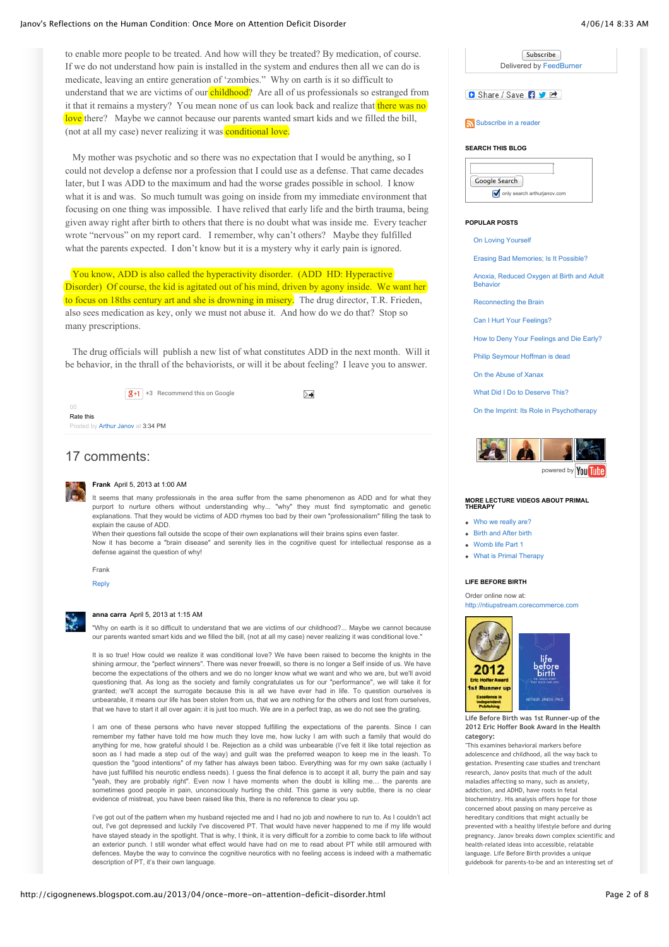to enable more people to be treated. And how will they be treated? By medication, of course. If we do not understand how pain is installed in the system and endures then all we can do is medicate, leaving an entire generation of 'zombies." Why on earth is it so difficult to understand that we are victims of our childhood? Are all of us professionals so estranged from it that it remains a mystery? You mean none of us can look back and realize that there was no love there? Maybe we cannot because our parents wanted smart kids and we filled the bill, (not at all my case) never realizing it was **conditional love**.

 My mother was psychotic and so there was no expectation that I would be anything, so I could not develop a defense nor a profession that I could use as a defense. That came decades later, but I was ADD to the maximum and had the worse grades possible in school. I know what it is and was. So much tumult was going on inside from my immediate environment that focusing on one thing was impossible. I have relived that early life and the birth trauma, being given away right after birth to others that there is no doubt what was inside me. Every teacher wrote "nervous" on my report card. I remember, why can't others? Maybe they fulfilled what the parents expected. I don't know but it is a mystery why it early pain is ignored.

 You know, ADD is also called the hyperactivity disorder. (ADD HD: Hyperactive Disorder) Of course, the kid is agitated out of his mind, driven by agony inside. We want her to focus on 18ths century art and she is drowning in misery. The drug director, T.R. Frieden, also sees medication as key, only we must not abuse it. And how do we do that? Stop so many prescriptions.

 The drug officials will publish a new list of what constitutes ADD in the next month. Will it be behavior, in the thrall of the behaviorists, or will it be about feeling? I leave you to answer.

 $\sqrt{g+1}$  +3 Recommend this on Google

| n                                 |  |
|-----------------------------------|--|
| Rate this                         |  |
| Posted by Arthur Janov at 3:34 PM |  |

### 17 comments:



### **[Frank](http://www.blogger.com/profile/02242354226308728116)** [April 5, 2013 at 1:00 AM](http://cigognenews.blogspot.com/2013/04/once-more-on-attention-deficit-disorder.html?showComment=1365148819045#c8581377414323944898)

It seems that many professionals in the area suffer from the same phenomenon as ADD and for what they purport to nurture others without understanding why... "why" they must find symptomatic and genetic explanations. That they would be victims of ADD rhymes too bad by their own "professionalism" filling the task to explain the cause of ADD.

≻≼

When their questions fall outside the scope of their own explanations will their brains spins even faster.

Now it has become a "brain disease" and serenity lies in the cognitive quest for intellectual response as a defense against the question of why!

|--|

### [Reply](javascript:;)

**[anna carra](http://www.blogger.com/profile/03301732076949258394)** [April 5, 2013 at 1:15 AM](http://cigognenews.blogspot.com/2013/04/once-more-on-attention-deficit-disorder.html?showComment=1365149719966#c2652876834294500819)

"Why on earth is it so difficult to understand that we are victims of our childhood?... Maybe we cannot because our parents wanted smart kids and we filled the bill, (not at all my case) never realizing it was conditional love."

It is so true! How could we realize it was conditional love? We have been raised to become the knights in the shining armour, the "perfect winners". There was never freewill, so there is no longer a Self inside of us. We have become the expectations of the others and we do no longer know what we want and who we are, but we'll avoid questioning that. As long as the society and family congratulates us for our "performance", we will take it for granted; we'll accept the surrogate because this is all we have ever had in life. To question ourselves is unbearable, it means our life has been stolen from us, that we are nothing for the others and lost from ourselves, that we have to start it all over again: it is just too much. We are in a perfect trap, as we do not see the grating.

I am one of these persons who have never stopped fulfilling the expectations of the parents. Since I can remember my father have told me how much they love me, how lucky I am with such a family that would do anything for me, how grateful should I be. Rejection as a child was unbearable (I've felt it like total rejection as soon as I had made a step out of the way) and guilt was the preferred weapon to keep me in the leash. To question the "good intentions" of my father has always been taboo. Everything was for my own sake (actually I have just fulfilled his neurotic endless needs). I guess the final defence is to accept it all, burry the pain and say "yeah, they are probably right". Even now I have moments when the doubt is killing me… the parents are sometimes good people in pain, unconsciously hurting the child. This game is very subtle, there is no clear evidence of mistreat, you have been raised like this, there is no reference to clear you up.

I've got out of the pattern when my husband rejected me and I had no job and nowhere to run to. As I couldn't act out, I've got depressed and luckily I've discovered PT. That would have never happened to me if my life would have stayed steady in the spotlight. That is why, I think, it is very difficult for a zombie to come back to life without an exterior punch. I still wonder what effect would have had on me to read about PT while still armoured with defences. Maybe the way to convince the cognitive neurotics with no feeling access is indeed with a mathematic description of PT, it's their own language.



#### **SEARCH THIS BLOG**

| Google Search               |  |  |  |  |
|-----------------------------|--|--|--|--|
| only search arthurjanov.com |  |  |  |  |

#### **POPULAR POSTS**

[On Loving Yourself](http://cigognenews.blogspot.com.au/2012/12/on-loving-yourself.html)

[Erasing Bad Memories; Is It Possible?](http://cigognenews.blogspot.com.au/2012/05/erasing-bad-memories-is-it-possible.html)

[Anoxia, Reduced Oxygen at Birth and Adult](http://cigognenews.blogspot.com.au/2009/03/anoxia-reduced-oxygen-at-birth-and.html) **Behavior** 

[Reconnecting the Brain](http://cigognenews.blogspot.com.au/2012/07/reconnecting-brain.html)

[Can I Hurt Your Feelings?](http://cigognenews.blogspot.com.au/2013/01/can-i-hurt-your-feelings.html)

[How to Deny Your Feelings and Die Early?](http://cigognenews.blogspot.com.au/2013/01/how-to-deny-your-feelings-and-die-early.html)

[Philip Seymour Hoffman is dead](http://cigognenews.blogspot.com.au/2014/02/philip-seymour-hoffman-is-dead.html)

[On the Abuse of Xanax](http://cigognenews.blogspot.com.au/2011/11/on-abuse-of-xanax.html)

[What Did I Do to Deserve This?](http://cigognenews.blogspot.com.au/2014/03/what-did-i-do-to-deserve-this.html)

[On the Imprint: Its Role in Psychotherapy](http://cigognenews.blogspot.com.au/2013/09/on-imprint-its-role-in-psychotherapy.html)



#### **MORE LECTURE VIDEOS ABOUT PRIMAL THERAPY**

• [Who we really are?](http://youtube.com/watch?v=SHYzidlWyAc)

- [Birth and After birth](http://youtube.com/watch?v=oaQcs8hVpdE&feature=related)
- Momb life Part 1
- [What is Primal Therapy](http://youtube.com/watch?v=ahs-g2-nrsY&feature=related)

### **LIFE BEFORE BIRTH**

Order online now at: [http://ntiupstream.corecommerce.com](http://ntiupstream.corecommerce.com/Life-Before-Birth-The-Hidden-Script-that-Rules-Our-Lives-p66.html)



**Life Before Birth was 1st Runner-up of the 2012 Eric Hoffer Book Award in the Health category:**

"This examines behavioral markers before adolescence and childhood, all the way back to gestation. Presenting case studies and trenchant research, Janov posits that much of the adult maladies affecting so many, such as anxiety, addiction, and ADHD, have roots in fetal biochemistry. His analysis offers hope for those concerned about passing on many perceive as hereditary conditions that might actually be prevented with a healthy lifestyle before and during pregnancy. Janov breaks down complex scientific and health-related ideas into accessible, relatable language. Life Before Birth provides a unique guidebook for parents-to-be and an interesting set of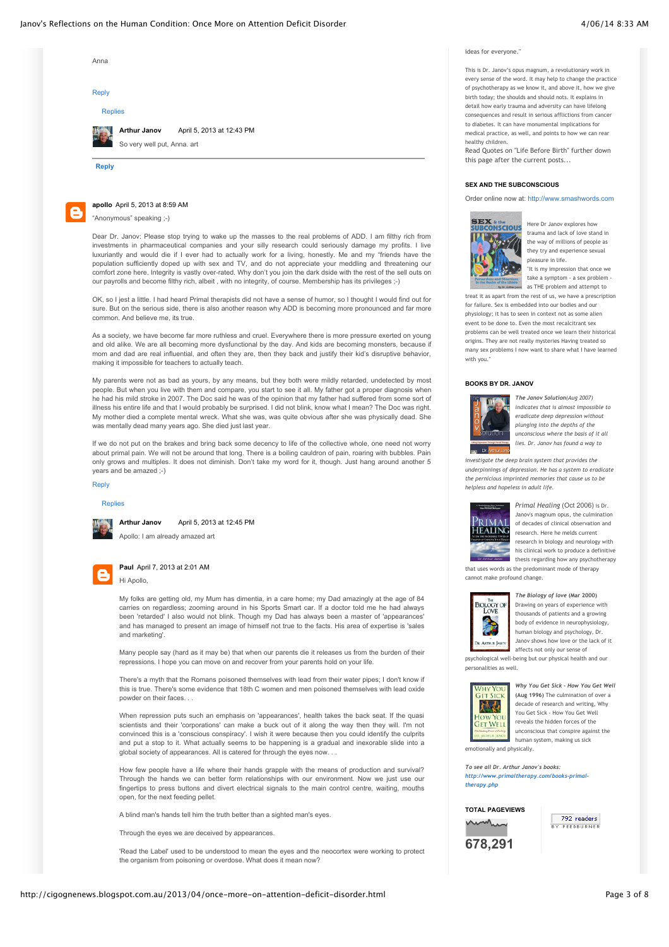ideas for everyone."

This is Dr. Janov's opus magnum, a revolutionary work in every sense of the word. It may help to change the practice of psychotherapy as we know it, and above it, how we give birth today; the shoulds and should nots. It explains in detail how early trauma and adversity can have lifelong consequences and result in serious afflictions from cancer to diabetes. It can have monumental implications for medical practice, as well, and points to how we can rehealthy children.

Read Quotes on "Life Before Birth" further down this page after the current posts...

#### **SEX AND THE SUBCONSCIOUS**

Order online now at: [http://www.smashwords.com](http://www.smashwords.com/books/view/80309)



Here Dr Janov explores how trauma and lack of love stand in the way of millions of people as they try and experience sexual pleasure in life.

.<br>"It is my impression that once we take a symptom - a sex problem as THE problem and attempt to

treat it as apart from the rest of us, we have a prescription for failure. Sex is embedded into our bodies and our physiology; it has to seen in context not as some alien event to be done to. Even the most recalcitrant sex problems can be well treated once we learn their historical origins. They are not really mysteries Having treated so many sex problems I now want to share what I have learned with you.

#### **BOOKS BY DR. JANOV**



*The Janov Solution(Aug 2007) indicates that is almost impossible to eradicate deep depression without plunging into the depths of the unconscious where the basis of it all lies. Dr. Janov has found a way to*

*investigate the deep brain system that provides the underpinnings of depression. He has a system to eradicate the pernicious imprinted memories that cause us to be helpless and hopeless in adult life.*



*Primal Healing* (Oct 2006) is Dr. Janov's magnum opus, the culmination of decades of clinical observation and research. Here he melds current research in biology and neurology with his clinical work to produce a definitive thesis regarding how any psychotherapy

that uses words as the predominant mode of therapy cannot make profound change.



*The Biology of love* **(Mar 2000)** Drawing on years of experience with thousands of patients and a growing body of evidence in neurophysiology, human biology and psychology, Dr. Janov shows how love or the lack of it affects not only our sense of

psychological well-being but our physical health and our personalities as well.



*Why You Get Sick - How You Get Well* **(Aug 1996)** The culmination of over a decade of research and writing, Why You Get Sick - How You Get Well reveals the hidden forces of the unconscious that conspire against the human system, making us sick

emotionally and physically.

*To see all Dr. Arthur Janov's books: [http://www.primaltherapy.com/books-primal](http://www.primaltherapy.com/books-primal-therapy.php)therapy.php*

**TOTAL PAGEVIEWS**

**678,291**

 $\overline{792}$  readers **Y FFFDRURNER** 

[Replies](javascript:;) **[Reply](javascript:;)** Anna [Reply](javascript:;) **[Arthur Janov](http://www.blogger.com/profile/18009571728800026496)** [April 5, 2013 at 12:43 PM](http://cigognenews.blogspot.com/2013/04/once-more-on-attention-deficit-disorder.html?showComment=1365191037141#c7430870574269121535) So very well put, Anna. art



**[apollo](http://www.blogger.com/profile/02040184843184207525)** [April 5, 2013 at 8:59 AM](http://cigognenews.blogspot.com/2013/04/once-more-on-attention-deficit-disorder.html?showComment=1365177577663#c3943890458962383117) "Anonymous" speaking ;-)

Dear Dr. Janov: Please stop trying to wake up the masses to the real problems of ADD. I am filthy rich from investments in pharmaceutical companies and your silly research could seriously damage my profits. I live luxuriantly and would die if I ever had to actually work for a living, honestly. Me and my "friends have the population sufficiently doped up with sex and TV, and do not appreciate your meddling and threatening our comfort zone here. Integrity is vastly over-rated. Why don't you join the dark dside with the rest of the sell outs on our payrolls and become filthy rich, albeit , with no integrity, of course. Membership has its privileges ;-)

OK, so I jest a little. I had heard Primal therapists did not have a sense of humor, so I thought I would find out for sure. But on the serious side, there is also another reason why ADD is becoming more pronounced and far more common. And believe me, its true.

As a society, we have become far more ruthless and cruel. Everywhere there is more pressure exerted on young and old alike. We are all becoming more dysfunctional by the day. And kids are becoming monsters, because if mom and dad are real influential, and often they are, then they back and justify their kid's disruptive behavior, making it impossible for teachers to actually teach.

My parents were not as bad as yours, by any means, but they both were mildly retarded, undetected by most people. But when you live with them and compare, you start to see it all. My father got a proper diagnosis when he had his mild stroke in 2007. The Doc said he was of the opinion that my father had suffered from some sort of illness his entire life and that I would probably be surprised. I did not blink, know what I mean? The Doc was right. My mother died a complete mental wreck. What she was, was quite obvious after she was physically dead. She was mentally dead many years ago. She died just last year.

If we do not put on the brakes and bring back some decency to life of the collective whole, one need not worry about primal pain. We will not be around that long. There is a boiling cauldron of pain, roaring with bubbles. Pain only grows and multiples. It does not diminish. Don't take my word for it, though. Just hang around another 5 years and be amazed ;-)

### [Reply](javascript:;)

**[Replies](javascript:;)** 



**[Arthur Janov](http://www.blogger.com/profile/18009571728800026496)** [April 5, 2013 at 12:45 PM](http://cigognenews.blogspot.com/2013/04/once-more-on-attention-deficit-disorder.html?showComment=1365191125335#c6740880003475037559)

Apollo: I am already amazed art



### **[Paul](http://www.blogger.com/profile/02006514330039884557)** [April 7, 2013 at 2:01 AM](http://cigognenews.blogspot.com/2013/04/once-more-on-attention-deficit-disorder.html?showComment=1365325280273#c7605415258525221105) Hi Apollo,

My folks are getting old, my Mum has dimentia, in a care home; my Dad amazingly at the age of 84 carries on regardless; zooming around in his Sports Smart car. If a doctor told me he had always been 'retarded' I also would not blink. Though my Dad has always been a master of 'appearances' and has managed to present an image of himself not true to the facts. His area of expertise is 'sales and marketing'.

Many people say (hard as it may be) that when our parents die it releases us from the burden of their repressions. I hope you can move on and recover from your parents hold on your life.

There's a myth that the Romans poisoned themselves with lead from their water pipes; I don't know if this is true. There's some evidence that 18th C women and men poisoned themselves with lead oxide powder on their faces. . .

When repression puts such an emphasis on 'appearances', health takes the back seat. If the quasi scientists and their 'corporations' can make a buck out of it along the way then they will. I'm not convinced this is a 'conscious conspiracy'. I wish it were because then you could identify the culprits and put a stop to it. What actually seems to be happening is a gradual and inexorable slide into a global society of appearances. All is catered for through the eyes now. . .

How few people have a life where their hands grapple with the means of production and survival? Through the hands we can better form relationships with our environment. Now we just use our fingertips to press buttons and divert electrical signals to the main control centre, waiting, mouths open, for the next feeding pellet.

A blind man's hands tell him the truth better than a sighted man's eyes.

Through the eyes we are deceived by appearances.

'Read the Label' used to be understood to mean the eyes and the neocortex were working to protect the organism from poisoning or overdose. What does it mean now?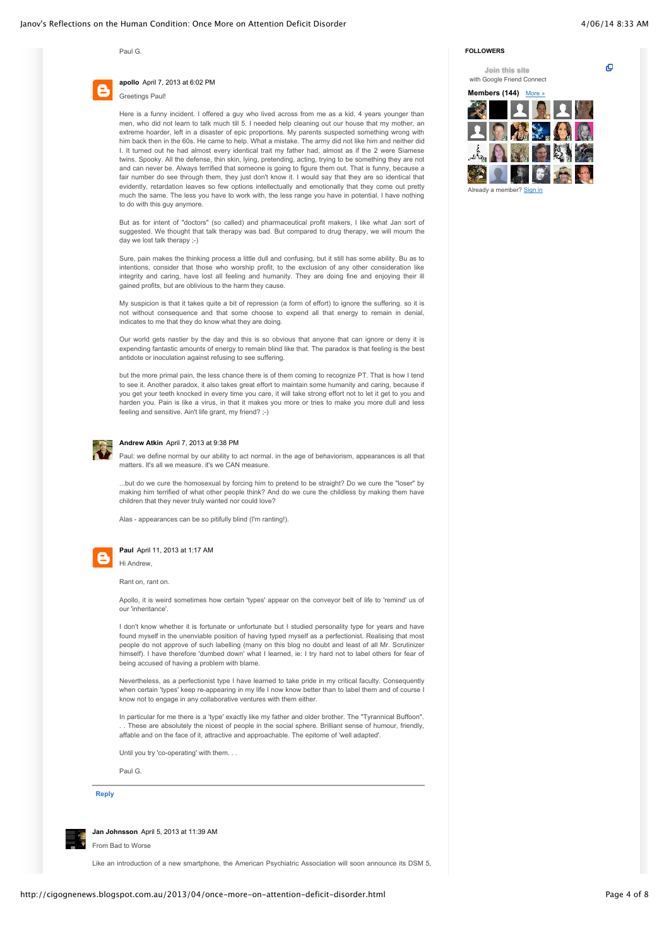Paul G.



### **[apollo](http://www.blogger.com/profile/02040184843184207525)** [April 7, 2013 at 6:02 PM](http://cigognenews.blogspot.com/2013/04/once-more-on-attention-deficit-disorder.html?showComment=1365382934346#c1864890626438542514) Greetings Paul!

Here is a funny incident. I offered a guy who lived across from me as a kid, 4 years younger than men, who did not learn to talk much till 5. I needed help cleaning out our house that my mother, an extreme hoarder, left in a disaster of epic proportions. My parents suspected something wrong with him back then in the 60s. He came to help. What a mistake. The army did not like him and neither did I. It turned out he had almost every identical trait my father had, almost as if the 2 were Siamese twins. Spooky. All the defense, thin skin, lying, pretending, acting, trying to be something they are not and can never be. Always terrified that someone is going to figure them out. That is funny, because a fair number do see through them, they just don't know it. I would say that they are so identical that evidently, retardation leaves so few options intellectually and emotionally that they come out pretty much the same. The less you have to work with, the less range you have in potential. I have nothing to do with this guy anymore.

But as for intent of "doctors" (so called) and pharmaceutical profit makers, I like what Jan sort of suggested. We thought that talk therapy was bad. But compared to drug therapy, we will mourn the day we lost talk therapy ;-)

Sure, pain makes the thinking process a little dull and confusing, but it still has some ability. Bu as to intentions, consider that those who worship profit, to the exclusion of any other consideration like integrity and caring, have lost all feeling and humanity. They are doing fine and enjoying their ill gained profits, but are oblivious to the harm they cause.

My suspicion is that it takes quite a bit of repression (a form of effort) to ignore the suffering. so it is not without consequence and that some choose to expend all that energy to remain in denial, indicates to me that they do know what they are doing.

Our world gets nastier by the day and this is so obvious that anyone that can ignore or deny it is expending fantastic amounts of energy to remain blind like that. The paradox is that feeling is the best antidote or inoculation against refusing to see suffering.

but the more primal pain, the less chance there is of them coming to recognize PT. That is how I tend to see it. Another paradox, it also takes great effort to maintain some humanity and caring, because if you get your teeth knocked in every time you care, it will take strong effort not to let it get to you and harden you. Pain is like a virus, in that it makes you more or tries to make you more dull and less feeling and sensitive. Ain't life grant, my friend? ;-)



### **[Andrew Atkin](http://www.blogger.com/profile/04492591375757227409)** [April 7, 2013 at 9:38 PM](http://cigognenews.blogspot.com/2013/04/once-more-on-attention-deficit-disorder.html?showComment=1365395919139#c5746029648695725021)

Paul: we define normal by our ability to act normal. in the age of behaviorism, appearances is all that matters. It's all we measure, it's we CAN measure.

...but do we cure the homosexual by forcing him to pretend to be straight? Do we cure the "loser" by making him terrified of what other people think? And do we cure the childless by making them have children that they never truly wanted nor could love?

Alas - appearances can be so pitifully blind (I'm ranting!).



### **[Paul](http://www.blogger.com/profile/02006514330039884557)** [April 11, 2013 at 1:17 AM](http://cigognenews.blogspot.com/2013/04/once-more-on-attention-deficit-disorder.html?showComment=1365668279053#c1156749053320787113)

Hi Andrew,

Rant on, rant on.

Apollo, it is weird sometimes how certain 'types' appear on the conveyor belt of life to 'remind' us of our 'inheritance'.

I don't know whether it is fortunate or unfortunate but I studied personality type for years and have found myself in the unenviable position of having typed myself as a perfectionist. Realising that most people do not approve of such labelling (many on this blog no doubt and least of all Mr. Scrutinizer himself). I have therefore 'dumbed down' what I learned, ie: I try hard not to label others for fear of being accused of having a problem with blame.

Nevertheless, as a perfectionist type I have learned to take pride in my critical faculty. Consequently when certain 'types' keep re-appearing in my life I now know better than to label them and of course I know not to engage in any collaborative ventures with them either.

In particular for me there is a 'type' exactly like my father and older brother. The "Tyrannical Buffoon". These are absolutely the nicest of people in the social sphere. Brilliant sense of humour, friendly, affable and on the face of it, attractive and approachable. The epitome of 'well adapted'.

Until you try 'co-operating' with them. . .

Paul G.

**[Reply](javascript:;)**



**[Jan Johnsson](http://www.blogger.com/profile/15107966321155297159)** [April 5, 2013 at 11:39 AM](http://cigognenews.blogspot.com/2013/04/once-more-on-attention-deficit-disorder.html?showComment=1365187183998#c3185556796694081242)

From Bad to Worse

Like an introduction of a new smartphone, the American Psychiatric Association will soon announce its DSM 5,

### **FOLLOWERS**

**Join this site**

ō

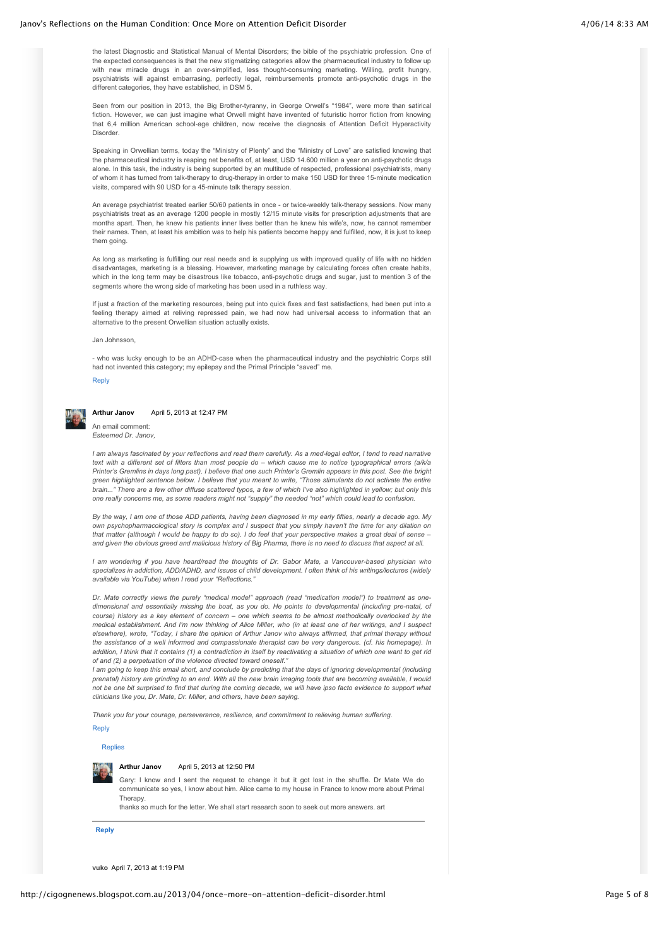the latest Diagnostic and Statistical Manual of Mental Disorders; the bible of the psychiatric profession. One of the expected consequences is that the new stigmatizing categories allow the pharmaceutical industry to follow up with new miracle drugs in an over-simplified, less thought-consuming marketing. Willing, profit hungry, psychiatrists will against embarrasing, perfectly legal, reimbursements promote anti-psychotic drugs in the different categories, they have established, in DSM 5.

Seen from our position in 2013, the Big Brother-tyranny, in George Orwell's "1984", were more than satirical fiction. However, we can just imagine what Orwell might have invented of futuristic horror fiction from knowing that 6,4 million American school-age children, now receive the diagnosis of Attention Deficit Hyperactivity Disorder.

Speaking in Orwellian terms, today the "Ministry of Plenty" and the "Ministry of Love" are satisfied knowing that the pharmaceutical industry is reaping net benefits of, at least, USD 14.600 million a year on anti-psychotic drugs alone. In this task, the industry is being supported by an multitude of respected, professional psychiatrists, many of whom it has turned from talk-therapy to drug-therapy in order to make 150 USD for three 15-minute medication visits, compared with 90 USD for a 45-minute talk therapy session.

An average psychiatrist treated earlier 50/60 patients in once - or twice-weekly talk-therapy sessions. Now many psychiatrists treat as an average 1200 people in mostly 12/15 minute visits for prescription adjustments that are months apart. Then, he knew his patients inner lives better than he knew his wife's, now, he cannot remember their names. Then, at least his ambition was to help his patients become happy and fulfilled, now, it is just to keep them going.

As long as marketing is fulfilling our real needs and is supplying us with improved quality of life with no hidden disadvantages, marketing is a blessing. However, marketing manage by calculating forces often create habits, which in the long term may be disastrous like tobacco, anti-psychotic drugs and sugar, just to mention 3 of the segments where the wrong side of marketing has been used in a ruthless way.

If just a fraction of the marketing resources, being put into quick fixes and fast satisfactions, had been put into a feeling therapy aimed at reliving repressed pain, we had now had universal access to information that an alternative to the present Orwellian situation actually exists.

Jan Johnsson,

- who was lucky enough to be an ADHD-case when the pharmaceutical industry and the psychiatric Corps still had not invented this category; my epilepsy and the Primal Principle "saved" me.

### [Reply](javascript:;)



### **[Arthur Janov](http://www.blogger.com/profile/18009571728800026496)** [April 5, 2013 at 12:47 PM](http://cigognenews.blogspot.com/2013/04/once-more-on-attention-deficit-disorder.html?showComment=1365191270987#c146211006796377311)

An email comment: *Esteemed Dr. Janov,*

*I am always fascinated by your reflections and read them carefully. As a med-legal editor, I tend to read narrative text with a different set of filters than most people do – which cause me to notice typographical errors (a/k/a Printer's Gremlins in days long past). I believe that one such Printer's Gremlin appears in this post. See the bright green highlighted sentence below. I believe that you meant to write, "Those stimulants do not activate the entire brain..." There are a few other diffuse scattered typos, a few of which I've also highlighted in yellow; but only this one really concerns me, as some readers might not "supply" the needed "not" which could lead to confusion.* 

*By the way, I am one of those ADD patients, having been diagnosed in my early fifties, nearly a decade ago. My own psychopharmacological story is complex and I suspect that you simply haven't the time for any dilation on that matter (although I would be happy to do so). I do feel that your perspective makes a great deal of sense – and given the obvious greed and malicious history of Big Pharma, there is no need to discuss that aspect at all.* 

*I am wondering if you have heard/read the thoughts of Dr. Gabor Mate, a Vancouver-based physician who specializes in addiction, ADD/ADHD, and issues of child development. I often think of his writings/lectures (widely available via YouTube) when I read your "Reflections."*

*Dr. Mate correctly views the purely "medical model" approach (read "medication model") to treatment as onedimensional and essentially missing the boat, as you do. He points to developmental (including pre-natal, of course) history as a key element of concern – one which seems to be almost methodically overlooked by the medical establishment. And I'm now thinking of Alice Miller, who (in at least one of her writings, and I suspect elsewhere), wrote, "Today, I share the opinion of Arthur Janov who always affirmed, that primal therapy without the assistance of a well informed and compassionate therapist can be very dangerous. (cf. his homepage). In addition, I think that it contains (1) a contradiction in itself by reactivating a situation of which one want to get rid of and (2) a perpetuation of the violence directed toward oneself."*

*I am going to keep this email short, and conclude by predicting that the days of ignoring developmental (including prenatal) history are grinding to an end. With all the new brain imaging tools that are becoming available, I would not be one bit surprised to find that during the coming decade, we will have ipso facto evidence to support what clinicians like you, Dr. Mate, Dr. Miller, and others, have been saying.*

*Thank you for your courage, perseverance, resilience, and commitment to relieving human suffering.* [Reply](javascript:;)

## [Replies](javascript:;)

### **[Arthur Janov](http://www.blogger.com/profile/18009571728800026496)** [April 5, 2013 at 12:50 PM](http://cigognenews.blogspot.com/2013/04/once-more-on-attention-deficit-disorder.html?showComment=1365191437328#c7400041201918535569)

Gary: I know and I sent the request to change it but it got lost in the shuffle. Dr Mate We do communicate so yes, I know about him. Alice came to my house in France to know more about Primal Therapy

thanks so much for the letter. We shall start research soon to seek out more answers. art

### **[Reply](javascript:;)**

**vuko** [April 7, 2013 at 1:19 PM](http://cigognenews.blogspot.com/2013/04/once-more-on-attention-deficit-disorder.html?showComment=1365365974984#c1886255343366277963)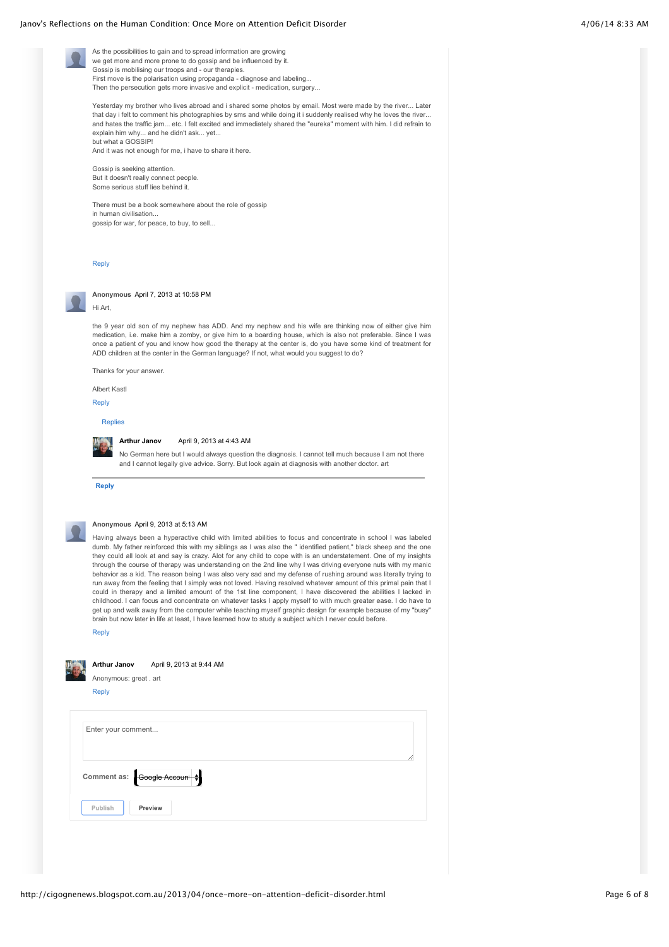### Janov's Reflections on the Human Condition: Once More on Attention Deficit Disorder 4/06/14 8:33 AM

As the possibilities to gain and to spread information are growing we get more and more prone to do gossip and be influenced by it. Gossip is mobilising our troops and - our therapies. First move is the polarisation using propaganda - diagnose and labeling... Then the persecution gets more invasive and explicit - medication, surgery...

Yesterday my brother who lives abroad and i shared some photos by email. Most were made by the river... Later that day i felt to comment his photographies by sms and while doing it i suddenly realised why he loves the river... and hates the traffic jam... etc. I felt excited and immediately shared the "eureka" moment with him. I did refrain to explain him why... and he didn't ask... yet... but what a GOSSIP!

And it was not enough for me, i have to share it here.

Gossip is seeking attention. But it doesn't really connect people. Some serious stuff lies behind it.

There must be a book somewhere about the role of gossip in human civilisation... gossip for war, for peace, to buy, to sell...

### [Reply](javascript:;)



**Anonymous** [April 7, 2013 at 10:58 PM](http://cigognenews.blogspot.com/2013/04/once-more-on-attention-deficit-disorder.html?showComment=1365400680679#c8455131653855551196)

Hi Art,

the 9 year old son of my nephew has ADD. And my nephew and his wife are thinking now of either give him medication, i.e. make him a zomby, or give him to a boarding house, which is also not preferable. Since I was once a patient of you and know how good the therapy at the center is, do you have some kind of treatment for ADD children at the center in the German language? If not, what would you suggest to do?

Thanks for your answer.

Albert Kastl

[Reply](javascript:;)

### [Replies](javascript:;)



### **[Arthur Janov](http://www.blogger.com/profile/18009571728800026496)** [April 9, 2013 at 4:43 AM](http://cigognenews.blogspot.com/2013/04/once-more-on-attention-deficit-disorder.html?showComment=1365507799124#c2213591000707136615)

No German here but I would always question the diagnosis. I cannot tell much because I am not there and I cannot legally give advice. Sorry. But look again at diagnosis with another doctor. art

**[Reply](javascript:;)**



### **Anonymous** [April 9, 2013 at 5:13 AM](http://cigognenews.blogspot.com/2013/04/once-more-on-attention-deficit-disorder.html?showComment=1365509619740#c5039797835707175658)

Having always been a hyperactive child with limited abilities to focus and concentrate in school I was labeled dumb. My father reinforced this with my siblings as I was also the " identified patient," black sheep and the one they could all look at and say is crazy. Alot for any child to cope with is an understatement. One of my insights through the course of therapy was understanding on the 2nd line why I was driving everyone nuts with my manic behavior as a kid. The reason being I was also very sad and my defense of rushing around was literally trying to run away from the feeling that I simply was not loved. Having resolved whatever amount of this primal pain that I could in therapy and a limited amount of the 1st line component, I have discovered the abilities I lacked in childhood. I can focus and concentrate on whatever tasks I apply myself to with much greater ease. I do have to get up and walk away from the computer while teaching myself graphic design for example because of my "busy" brain but now later in life at least, I have learned how to study a subject which I never could before.

[Reply](javascript:;)

| <b>Arthur Janov</b><br>April 9, 2013 at 9:44 AM<br>Anonymous: great . art |  |  |  |   |
|---------------------------------------------------------------------------|--|--|--|---|
| <b>Reply</b>                                                              |  |  |  |   |
| Enter your comment                                                        |  |  |  |   |
| Comment as: Google Account                                                |  |  |  | b |
| Publish<br>Preview                                                        |  |  |  |   |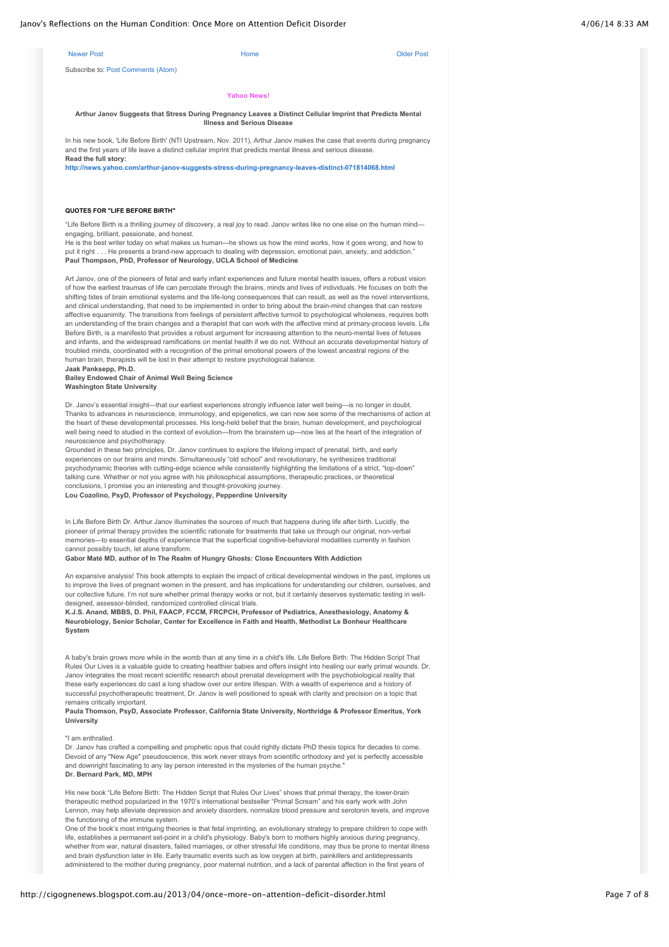| Janov's Reflections on the Human Condition: Once More on Attention Deficit Disorder                                                                                                                                                                                                              | 4/06/14 8:33 AM                    |                   |  |
|--------------------------------------------------------------------------------------------------------------------------------------------------------------------------------------------------------------------------------------------------------------------------------------------------|------------------------------------|-------------------|--|
| <b>Newer Post</b>                                                                                                                                                                                                                                                                                | Home                               | <b>Older Post</b> |  |
| Subscribe to: Post Comments (Atom)                                                                                                                                                                                                                                                               |                                    |                   |  |
|                                                                                                                                                                                                                                                                                                  | <b>Yahoo News!</b>                 |                   |  |
| Arthur Janov Suggests that Stress During Pregnancy Leaves a Distinct Cellular Imprint that Predicts Mental                                                                                                                                                                                       | <b>Illness and Serious Disease</b> |                   |  |
| In his new book, 'Life Before Birth' (NTI Upstream, Nov. 2011), Arthur Janov makes the case that events during pregnancy<br>and the first years of life leave a distinct cellular imprint that predicts mental illness and serious disease.<br>Read the full story:                              |                                    |                   |  |
| http://news.yahoo.com/arthur-janov-suggests-stress-during-pregnancy-leaves-distinct-071814068.html                                                                                                                                                                                               |                                    |                   |  |
|                                                                                                                                                                                                                                                                                                  |                                    |                   |  |
| <b>QUOTES FOR "LIFE BEFORE BIRTH"</b>                                                                                                                                                                                                                                                            |                                    |                   |  |
| "Life Before Birth is a thrilling journey of discovery, a real joy to read. Janov writes like no one else on the human mind—<br>engaging, brilliant, passionate, and honest.<br>He is the best writer today on what makes us human—he shows us how the mind works, how it goes wrong, and how to |                                    |                   |  |
| put it right He presents a brand-new approach to dealing with depression, emotional pain, anxiety, and addiction."<br>Paul Thompson, PhD, Professor of Neurology, UCLA School of Medicine                                                                                                        |                                    |                   |  |
| Art Janov, one of the pioneers of fetal and early infant experiences and future mental health issues, offers a robust vision<br>of how the earliest traumas of life can percolate through the brains, minds and lives of individuals. He focuses on both the                                     |                                    |                   |  |
| shifting tides of brain emotional systems and the life-long consequences that can result, as well as the novel interventions,<br>and clinical understanding, that need to be implemented in order to bring about the brain-mind changes that can restore                                         |                                    |                   |  |
| affective equanimity. The transitions from feelings of persistent affective turmoil to psychological wholeness, requires both<br>an understanding of the brain changes and a therapist that can work with the affective mind at primary-process levels. Life                                     |                                    |                   |  |
| Before Birth, is a manifesto that provides a robust argument for increasing attention to the neuro-mental lives of fetuses<br>and infants, and the widespread ramifications on mental health if we do not. Without an accurate developmental history of                                          |                                    |                   |  |
| troubled minds, coordinated with a recognition of the primal emotional powers of the lowest ancestral regions of the<br>human brain, therapists will be lost in their attempt to restore psychological balance.                                                                                  |                                    |                   |  |
| Jaak Panksepp, Ph.D.                                                                                                                                                                                                                                                                             |                                    |                   |  |
| Bailey Endowed Chair of Animal Well Being Science<br><b>Washington State University</b>                                                                                                                                                                                                          |                                    |                   |  |
|                                                                                                                                                                                                                                                                                                  |                                    |                   |  |

Dr. Janov's essential insight—that our earliest experiences strongly influence later well being—is no longer in doubt. Thanks to advances in neuroscience, immunology, and epigenetics, we can now see some of the mechanisms of action at the heart of these developmental processes. His long-held belief that the brain, human development, and psychological well being need to studied in the context of evolution—from the brainstem up—now lies at the heart of the integration of neuroscience and psychotherapy.

Grounded in these two principles, Dr. Janov continues to explore the lifelong impact of prenatal, birth, and early experiences on our brains and minds. Simultaneously "old school" and revolutionary, he synthesizes traditional psychodynamic theories with cutting-edge science while consistently highlighting the limitations of a strict, "top-down" talking cure. Whether or not you agree with his philosophical assumptions, therapeutic practices, or theoretical conclusions, I promise you an interesting and thought-provoking journey. **Lou Cozolino, PsyD, Professor of Psychology, Pepperdine University**

In Life Before Birth Dr. Arthur Janov illuminates the sources of much that happens during life after birth. Lucidly, the pioneer of primal therapy provides the scientific rationale for treatments that take us through our original, non-verbal memories—to essential depths of experience that the superficial cognitive-behavioral modalities currently in fashion cannot possibly touch, let alone transform.

### **Gabor Maté MD, author of In The Realm of Hungry Ghosts: Close Encounters With Addiction**

An expansive analysis! This book attempts to explain the impact of critical developmental windows in the past, implores us to improve the lives of pregnant women in the present, and has implications for understanding our children, ourselves, and our collective future. I'm not sure whether primal therapy works or not, but it certainly deserves systematic testing in welldesigned, assessor-blinded, randomized controlled clinical trials.

**K.J.S. Anand, MBBS, D. Phil, FAACP, FCCM, FRCPCH, Professor of Pediatrics, Anesthesiology, Anatomy & Neurobiology, Senior Scholar, Center for Excellence in Faith and Health, Methodist Le Bonheur Healthcare System**

A baby's brain grows more while in the womb than at any time in a child's life. Life Before Birth: The Hidden Script That Rules Our Lives is a valuable guide to creating healthier babies and offers insight into healing our early primal wounds. Dr. Janov integrates the most recent scientific research about prenatal development with the psychobiological reality that these early experiences do cast a long shadow over our entire lifespan. With a wealth of experience and a history of successful psychotherapeutic treatment, Dr. Janov is well positioned to speak with clarity and precision on a topic that remains critically important.

### **Paula Thomson, PsyD, Associate Professor, California State University, Northridge & Professor Emeritus, York University**

### "I am enthralled.

Dr. Janov has crafted a compelling and prophetic opus that could rightly dictate PhD thesis topics for decades to come. Devoid of any "New Age" pseudoscience, this work never strays from scientific orthodoxy and yet is perfectly accessible and downright fascinating to any lay person interested in the mysteries of the human psyche." **Dr. Bernard Park, MD, MPH**

His new book "Life Before Birth: The Hidden Script that Rules Our Lives" shows that primal therapy, the lower-brain therapeutic method popularized in the 1970's international bestseller "Primal Scream" and his early work with John Lennon, may help alleviate depression and anxiety disorders, normalize blood pressure and serotonin levels, and improve the functioning of the immune system.

One of the book's most intriguing theories is that fetal imprinting, an evolutionary strategy to prepare children to cope with life, establishes a permanent set-point in a child's physiology. Baby's born to mothers highly anxious during pregnancy, whether from war, natural disasters, failed marriages, or other stressful life conditions, may thus be prone to mental illness and brain dysfunction later in life. Early traumatic events such as low oxygen at birth, painkillers and antidepressants administered to the mother during pregnancy, poor maternal nutrition, and a lack of parental affection in the first years of